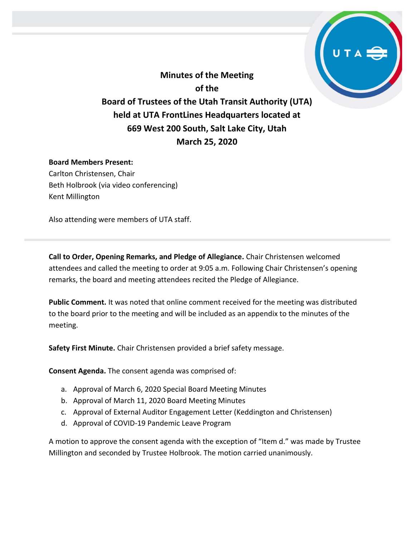**Minutes of the Meeting of the Board of Trustees of the Utah Transit Authority (UTA) held at UTA FrontLines Headquarters located at 669 West 200 South, Salt Lake City, Utah March 25, 2020**

#### **Board Members Present:**

Carlton Christensen, Chair Beth Holbrook (via video conferencing) Kent Millington

Also attending were members of UTA staff.

**Call to Order, Opening Remarks, and Pledge of Allegiance.** Chair Christensen welcomed attendees and called the meeting to order at 9:05 a.m. Following Chair Christensen's opening remarks, the board and meeting attendees recited the Pledge of Allegiance.

**Public Comment.** It was noted that online comment received for the meeting was distributed to the board prior to the meeting and will be included as an appendix to the minutes of the meeting.

**Safety First Minute.** Chair Christensen provided a brief safety message.

**Consent Agenda.** The consent agenda was comprised of:

- a. Approval of March 6, 2020 Special Board Meeting Minutes
- b. Approval of March 11, 2020 Board Meeting Minutes
- c. Approval of External Auditor Engagement Letter (Keddington and Christensen)
- d. Approval of COVID-19 Pandemic Leave Program

A motion to approve the consent agenda with the exception of "Item d." was made by Trustee Millington and seconded by Trustee Holbrook. The motion carried unanimously.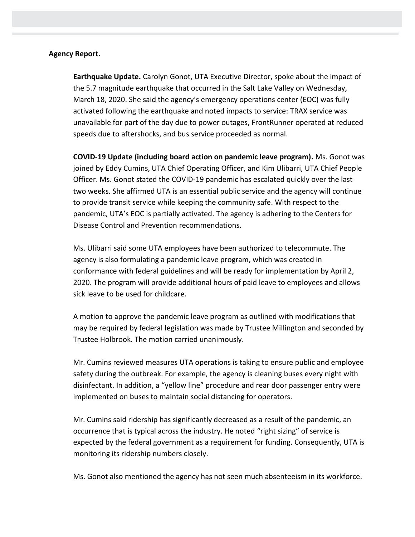#### **Agency Report.**

**Earthquake Update.** Carolyn Gonot, UTA Executive Director, spoke about the impact of the 5.7 magnitude earthquake that occurred in the Salt Lake Valley on Wednesday, March 18, 2020. She said the agency's emergency operations center (EOC) was fully activated following the earthquake and noted impacts to service: TRAX service was unavailable for part of the day due to power outages, FrontRunner operated at reduced speeds due to aftershocks, and bus service proceeded as normal.

**COVID-19 Update (including board action on pandemic leave program).** Ms. Gonot was joined by Eddy Cumins, UTA Chief Operating Officer, and Kim Ulibarri, UTA Chief People Officer. Ms. Gonot stated the COVID-19 pandemic has escalated quickly over the last two weeks. She affirmed UTA is an essential public service and the agency will continue to provide transit service while keeping the community safe. With respect to the pandemic, UTA's EOC is partially activated. The agency is adhering to the Centers for Disease Control and Prevention recommendations.

Ms. Ulibarri said some UTA employees have been authorized to telecommute. The agency is also formulating a pandemic leave program, which was created in conformance with federal guidelines and will be ready for implementation by April 2, 2020. The program will provide additional hours of paid leave to employees and allows sick leave to be used for childcare.

A motion to approve the pandemic leave program as outlined with modifications that may be required by federal legislation was made by Trustee Millington and seconded by Trustee Holbrook. The motion carried unanimously.

Mr. Cumins reviewed measures UTA operations is taking to ensure public and employee safety during the outbreak. For example, the agency is cleaning buses every night with disinfectant. In addition, a "yellow line" procedure and rear door passenger entry were implemented on buses to maintain social distancing for operators.

Mr. Cumins said ridership has significantly decreased as a result of the pandemic, an occurrence that is typical across the industry. He noted "right sizing" of service is expected by the federal government as a requirement for funding. Consequently, UTA is monitoring its ridership numbers closely.

Ms. Gonot also mentioned the agency has not seen much absenteeism in its workforce.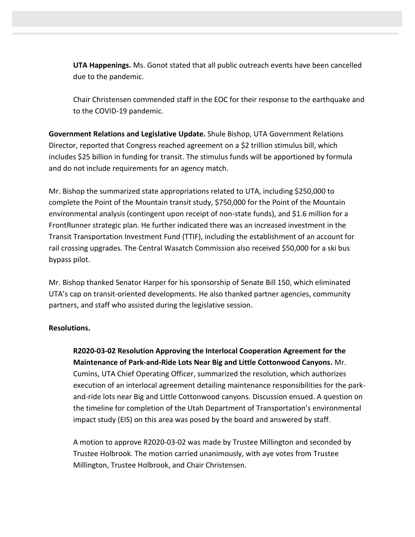**UTA Happenings.** Ms. Gonot stated that all public outreach events have been cancelled due to the pandemic.

Chair Christensen commended staff in the EOC for their response to the earthquake and to the COVID-19 pandemic.

**Government Relations and Legislative Update.** Shule Bishop, UTA Government Relations Director, reported that Congress reached agreement on a \$2 trillion stimulus bill, which includes \$25 billion in funding for transit. The stimulus funds will be apportioned by formula and do not include requirements for an agency match.

Mr. Bishop the summarized state appropriations related to UTA, including \$250,000 to complete the Point of the Mountain transit study, \$750,000 for the Point of the Mountain environmental analysis (contingent upon receipt of non-state funds), and \$1.6 million for a FrontRunner strategic plan. He further indicated there was an increased investment in the Transit Transportation Investment Fund (TTIF), including the establishment of an account for rail crossing upgrades. The Central Wasatch Commission also received \$50,000 for a ski bus bypass pilot.

Mr. Bishop thanked Senator Harper for his sponsorship of Senate Bill 150, which eliminated UTA's cap on transit-oriented developments. He also thanked partner agencies, community partners, and staff who assisted during the legislative session.

### **Resolutions.**

**R2020-03-02 Resolution Approving the Interlocal Cooperation Agreement for the Maintenance of Park-and-Ride Lots Near Big and Little Cottonwood Canyons.** Mr. Cumins, UTA Chief Operating Officer, summarized the resolution, which authorizes execution of an interlocal agreement detailing maintenance responsibilities for the parkand-ride lots near Big and Little Cottonwood canyons. Discussion ensued. A question on the timeline for completion of the Utah Department of Transportation's environmental impact study (EIS) on this area was posed by the board and answered by staff.

A motion to approve R2020-03-02 was made by Trustee Millington and seconded by Trustee Holbrook. The motion carried unanimously, with aye votes from Trustee Millington, Trustee Holbrook, and Chair Christensen.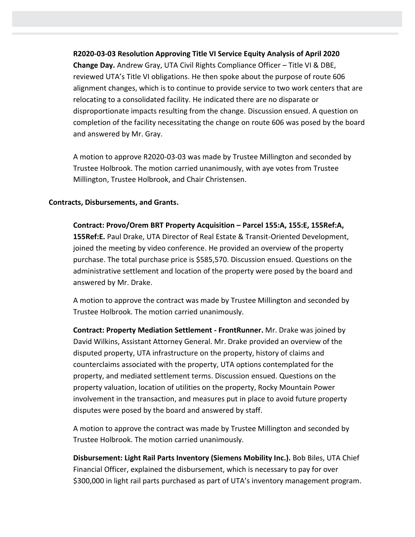### **R2020-03-03 Resolution Approving Title VI Service Equity Analysis of April 2020**

**Change Day.** Andrew Gray, UTA Civil Rights Compliance Officer – Title VI & DBE, reviewed UTA's Title VI obligations. He then spoke about the purpose of route 606 alignment changes, which is to continue to provide service to two work centers that are relocating to a consolidated facility. He indicated there are no disparate or disproportionate impacts resulting from the change. Discussion ensued. A question on completion of the facility necessitating the change on route 606 was posed by the board and answered by Mr. Gray.

A motion to approve R2020-03-03 was made by Trustee Millington and seconded by Trustee Holbrook. The motion carried unanimously, with aye votes from Trustee Millington, Trustee Holbrook, and Chair Christensen.

#### **Contracts, Disbursements, and Grants.**

**Contract: Provo/Orem BRT Property Acquisition – Parcel 155:A, 155:E, 155Ref:A, 155Ref:E.** Paul Drake, UTA Director of Real Estate & Transit-Oriented Development, joined the meeting by video conference. He provided an overview of the property purchase. The total purchase price is \$585,570. Discussion ensued. Questions on the administrative settlement and location of the property were posed by the board and answered by Mr. Drake.

A motion to approve the contract was made by Trustee Millington and seconded by Trustee Holbrook. The motion carried unanimously.

**Contract: Property Mediation Settlement - FrontRunner.** Mr. Drake was joined by David Wilkins, Assistant Attorney General. Mr. Drake provided an overview of the disputed property, UTA infrastructure on the property, history of claims and counterclaims associated with the property, UTA options contemplated for the property, and mediated settlement terms. Discussion ensued. Questions on the property valuation, location of utilities on the property, Rocky Mountain Power involvement in the transaction, and measures put in place to avoid future property disputes were posed by the board and answered by staff.

A motion to approve the contract was made by Trustee Millington and seconded by Trustee Holbrook. The motion carried unanimously.

**Disbursement: Light Rail Parts Inventory (Siemens Mobility Inc.).** Bob Biles, UTA Chief Financial Officer, explained the disbursement, which is necessary to pay for over \$300,000 in light rail parts purchased as part of UTA's inventory management program.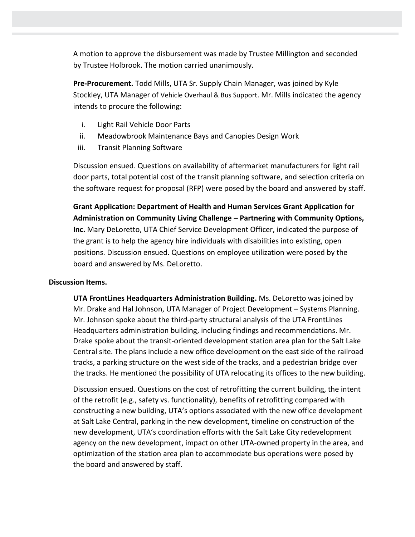A motion to approve the disbursement was made by Trustee Millington and seconded by Trustee Holbrook. The motion carried unanimously.

**Pre-Procurement.** Todd Mills, UTA Sr. Supply Chain Manager, was joined by Kyle Stockley, UTA Manager of Vehicle Overhaul & Bus Support. Mr. Mills indicated the agency intends to procure the following:

- i. Light Rail Vehicle Door Parts
- ii. Meadowbrook Maintenance Bays and Canopies Design Work
- iii. Transit Planning Software

Discussion ensued. Questions on availability of aftermarket manufacturers for light rail door parts, total potential cost of the transit planning software, and selection criteria on the software request for proposal (RFP) were posed by the board and answered by staff.

**Grant Application: Department of Health and Human Services Grant Application for Administration on Community Living Challenge – Partnering with Community Options, Inc.** Mary DeLoretto, UTA Chief Service Development Officer, indicated the purpose of the grant is to help the agency hire individuals with disabilities into existing, open positions. Discussion ensued. Questions on employee utilization were posed by the board and answered by Ms. DeLoretto.

### **Discussion Items.**

**UTA FrontLines Headquarters Administration Building.** Ms. DeLoretto was joined by Mr. Drake and Hal Johnson, UTA Manager of Project Development – Systems Planning. Mr. Johnson spoke about the third-party structural analysis of the UTA FrontLines Headquarters administration building, including findings and recommendations. Mr. Drake spoke about the transit-oriented development station area plan for the Salt Lake Central site. The plans include a new office development on the east side of the railroad tracks, a parking structure on the west side of the tracks, and a pedestrian bridge over the tracks. He mentioned the possibility of UTA relocating its offices to the new building.

Discussion ensued. Questions on the cost of retrofitting the current building, the intent of the retrofit (e.g., safety vs. functionality), benefits of retrofitting compared with constructing a new building, UTA's options associated with the new office development at Salt Lake Central, parking in the new development, timeline on construction of the new development, UTA's coordination efforts with the Salt Lake City redevelopment agency on the new development, impact on other UTA-owned property in the area, and optimization of the station area plan to accommodate bus operations were posed by the board and answered by staff.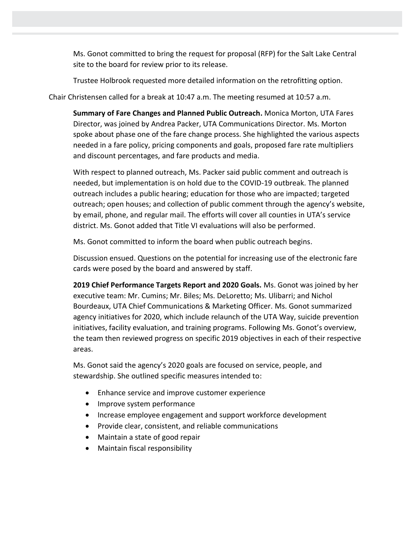Ms. Gonot committed to bring the request for proposal (RFP) for the Salt Lake Central site to the board for review prior to its release.

Trustee Holbrook requested more detailed information on the retrofitting option.

Chair Christensen called for a break at 10:47 a.m. The meeting resumed at 10:57 a.m.

**Summary of Fare Changes and Planned Public Outreach.** Monica Morton, UTA Fares Director, was joined by Andrea Packer, UTA Communications Director. Ms. Morton spoke about phase one of the fare change process. She highlighted the various aspects needed in a fare policy, pricing components and goals, proposed fare rate multipliers and discount percentages, and fare products and media.

With respect to planned outreach, Ms. Packer said public comment and outreach is needed, but implementation is on hold due to the COVID-19 outbreak. The planned outreach includes a public hearing; education for those who are impacted; targeted outreach; open houses; and collection of public comment through the agency's website, by email, phone, and regular mail. The efforts will cover all counties in UTA's service district. Ms. Gonot added that Title VI evaluations will also be performed.

Ms. Gonot committed to inform the board when public outreach begins.

Discussion ensued. Questions on the potential for increasing use of the electronic fare cards were posed by the board and answered by staff.

**2019 Chief Performance Targets Report and 2020 Goals.** Ms. Gonot was joined by her executive team: Mr. Cumins; Mr. Biles; Ms. DeLoretto; Ms. Ulibarri; and Nichol Bourdeaux, UTA Chief Communications & Marketing Officer. Ms. Gonot summarized agency initiatives for 2020, which include relaunch of the UTA Way, suicide prevention initiatives, facility evaluation, and training programs. Following Ms. Gonot's overview, the team then reviewed progress on specific 2019 objectives in each of their respective areas.

Ms. Gonot said the agency's 2020 goals are focused on service, people, and stewardship. She outlined specific measures intended to:

- Enhance service and improve customer experience
- Improve system performance
- Increase employee engagement and support workforce development
- Provide clear, consistent, and reliable communications
- Maintain a state of good repair
- Maintain fiscal responsibility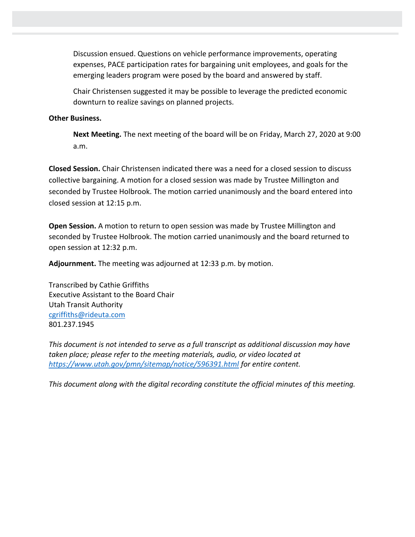Discussion ensued. Questions on vehicle performance improvements, operating expenses, PACE participation rates for bargaining unit employees, and goals for the emerging leaders program were posed by the board and answered by staff.

Chair Christensen suggested it may be possible to leverage the predicted economic downturn to realize savings on planned projects.

### **Other Business.**

**Next Meeting.** The next meeting of the board will be on Friday, March 27, 2020 at 9:00 a.m.

**Closed Session.** Chair Christensen indicated there was a need for a closed session to discuss collective bargaining. A motion for a closed session was made by Trustee Millington and seconded by Trustee Holbrook. The motion carried unanimously and the board entered into closed session at 12:15 p.m.

**Open Session.** A motion to return to open session was made by Trustee Millington and seconded by Trustee Holbrook. The motion carried unanimously and the board returned to open session at 12:32 p.m.

**Adjournment.** The meeting was adjourned at 12:33 p.m. by motion.

Transcribed by Cathie Griffiths Executive Assistant to the Board Chair Utah Transit Authority [cgriffiths@rideuta.com](mailto:cgriffiths@rideuta.com) 801.237.1945

*This document is not intended to serve as a full transcript as additional discussion may have taken place; please refer to the meeting materials, audio, or video located at <https://www.utah.gov/pmn/sitemap/notice/596391.html> for entire content.*

*This document along with the digital recording constitute the official minutes of this meeting.*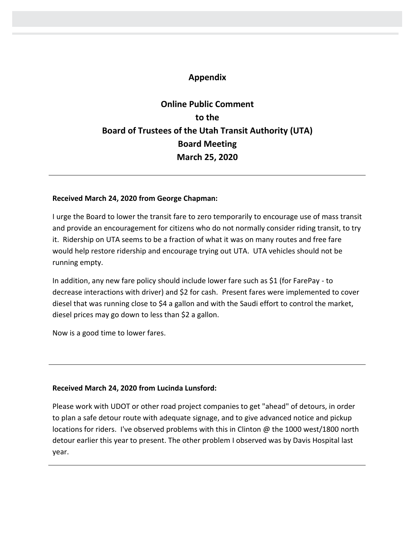## **Appendix**

# **Online Public Comment to the Board of Trustees of the Utah Transit Authority (UTA) Board Meeting March 25, 2020**

#### **Received March 24, 2020 from George Chapman:**

I urge the Board to lower the transit fare to zero temporarily to encourage use of mass transit and provide an encouragement for citizens who do not normally consider riding transit, to try it. Ridership on UTA seems to be a fraction of what it was on many routes and free fare would help restore ridership and encourage trying out UTA. UTA vehicles should not be running empty.

In addition, any new fare policy should include lower fare such as \$1 (for FarePay - to decrease interactions with driver) and \$2 for cash. Present fares were implemented to cover diesel that was running close to \$4 a gallon and with the Saudi effort to control the market, diesel prices may go down to less than \$2 a gallon.

Now is a good time to lower fares.

### **Received March 24, 2020 from Lucinda Lunsford:**

Please work with UDOT or other road project companies to get "ahead" of detours, in order to plan a safe detour route with adequate signage, and to give advanced notice and pickup locations for riders. I've observed problems with this in Clinton @ the 1000 west/1800 north detour earlier this year to present. The other problem I observed was by Davis Hospital last year.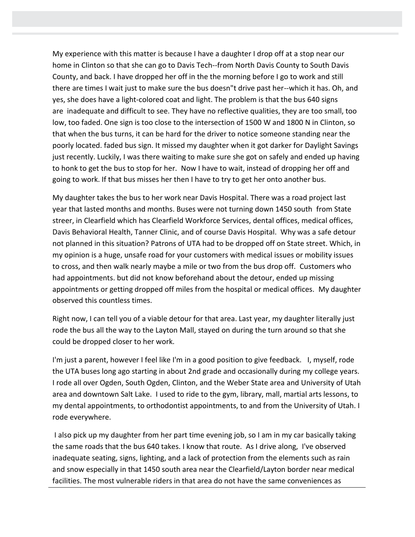My experience with this matter is because I have a daughter I drop off at a stop near our home in Clinton so that she can go to Davis Tech--from North Davis County to South Davis County, and back. I have dropped her off in the the morning before I go to work and still there are times I wait just to make sure the bus doesn"t drive past her--which it has. Oh, and yes, she does have a light-colored coat and light. The problem is that the bus 640 signs are inadequate and difficult to see. They have no reflective qualities, they are too small, too low, too faded. One sign is too close to the intersection of 1500 W and 1800 N in Clinton, so that when the bus turns, it can be hard for the driver to notice someone standing near the poorly located. faded bus sign. It missed my daughter when it got darker for Daylight Savings just recently. Luckily, I was there waiting to make sure she got on safely and ended up having to honk to get the bus to stop for her. Now I have to wait, instead of dropping her off and going to work. If that bus misses her then I have to try to get her onto another bus.

My daughter takes the bus to her work near Davis Hospital. There was a road project last year that lasted months and months. Buses were not turning down 1450 south from State streer, in Clearfield which has Clearfield Workforce Services, dental offices, medical offices, Davis Behavioral Health, Tanner Clinic, and of course Davis Hospital. Why was a safe detour not planned in this situation? Patrons of UTA had to be dropped off on State street. Which, in my opinion is a huge, unsafe road for your customers with medical issues or mobility issues to cross, and then walk nearly maybe a mile or two from the bus drop off. Customers who had appointments. but did not know beforehand about the detour, ended up missing appointments or getting dropped off miles from the hospital or medical offices. My daughter observed this countless times.

Right now, I can tell you of a viable detour for that area. Last year, my daughter literally just rode the bus all the way to the Layton Mall, stayed on during the turn around so that she could be dropped closer to her work.

I'm just a parent, however I feel like I'm in a good position to give feedback. I, myself, rode the UTA buses long ago starting in about 2nd grade and occasionally during my college years. I rode all over Ogden, South Ogden, Clinton, and the Weber State area and University of Utah area and downtown Salt Lake. I used to ride to the gym, library, mall, martial arts lessons, to my dental appointments, to orthodontist appointments, to and from the University of Utah. I rode everywhere.

I also pick up my daughter from her part time evening job, so I am in my car basically taking the same roads that the bus 640 takes. I know that route. As I drive along, I've observed inadequate seating, signs, lighting, and a lack of protection from the elements such as rain and snow especially in that 1450 south area near the Clearfield/Layton border near medical facilities. The most vulnerable riders in that area do not have the same conveniences as